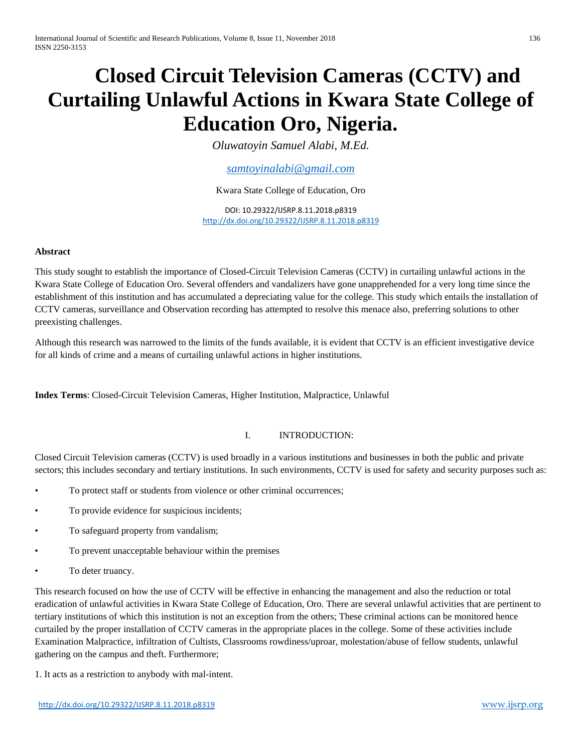# **Closed Circuit Television Cameras (CCTV) and Curtailing Unlawful Actions in Kwara State College of Education Oro, Nigeria.**

*Oluwatoyin Samuel Alabi, M.Ed.*

*[samtoyinalabi@gmail.com](mailto:samtoyinalabi@gmail.com)*

Kwara State College of Education, Oro

DOI: 10.29322/IJSRP.8.11.2018.p8319 <http://dx.doi.org/10.29322/IJSRP.8.11.2018.p8319>

## **Abstract**

This study sought to establish the importance of Closed-Circuit Television Cameras (CCTV) in curtailing unlawful actions in the Kwara State College of Education Oro. Several offenders and vandalizers have gone unapprehended for a very long time since the establishment of this institution and has accumulated a depreciating value for the college. This study which entails the installation of CCTV cameras, surveillance and Observation recording has attempted to resolve this menace also, preferring solutions to other preexisting challenges.

Although this research was narrowed to the limits of the funds available, it is evident that CCTV is an efficient investigative device for all kinds of crime and a means of curtailing unlawful actions in higher institutions.

**Index Terms**: Closed-Circuit Television Cameras, Higher Institution, Malpractice, Unlawful

# I. INTRODUCTION:

Closed Circuit Television cameras (CCTV) is used broadly in a various institutions and businesses in both the public and private sectors; this includes secondary and tertiary institutions. In such environments, CCTV is used for safety and security purposes such as:

- To protect staff or students from violence or other criminal occurrences;
- To provide evidence for suspicious incidents;
- To safeguard property from vandalism;
- To prevent unacceptable behaviour within the premises
- To deter truancy.

This research focused on how the use of CCTV will be effective in enhancing the management and also the reduction or total eradication of unlawful activities in Kwara State College of Education, Oro. There are several unlawful activities that are pertinent to tertiary institutions of which this institution is not an exception from the others; These criminal actions can be monitored hence curtailed by the proper installation of CCTV cameras in the appropriate places in the college. Some of these activities include Examination Malpractice, infiltration of Cultists, Classrooms rowdiness/uproar, molestation/abuse of fellow students, unlawful gathering on the campus and theft. Furthermore;

1. It acts as a restriction to anybody with mal-intent.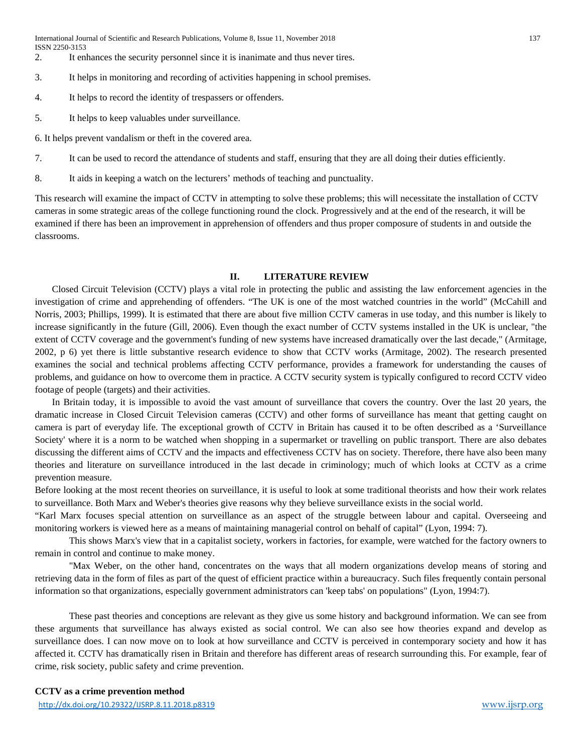- 2. It enhances the security personnel since it is inanimate and thus never tires.
- 3. It helps in monitoring and recording of activities happening in school premises.
- 4. It helps to record the identity of trespassers or offenders.
- 5. It helps to keep valuables under surveillance.

6. It helps prevent vandalism or theft in the covered area.

- 7. It can be used to record the attendance of students and staff, ensuring that they are all doing their duties efficiently.
- 8. It aids in keeping a watch on the lecturers' methods of teaching and punctuality.

This research will examine the impact of CCTV in attempting to solve these problems; this will necessitate the installation of CCTV cameras in some strategic areas of the college functioning round the clock. Progressively and at the end of the research, it will be examined if there has been an improvement in apprehension of offenders and thus proper composure of students in and outside the classrooms.

## **II. LITERATURE REVIEW**

Closed Circuit Television (CCTV) plays a vital role in protecting the public and assisting the law enforcement agencies in the investigation of crime and apprehending of offenders. "The UK is one of the most watched countries in the world" (McCahill and Norris, 2003; Phillips, 1999). It is estimated that there are about five million CCTV cameras in use today, and this number is likely to increase significantly in the future (Gill, 2006). Even though the exact number of CCTV systems installed in the UK is unclear, "the extent of CCTV coverage and the government's funding of new systems have increased dramatically over the last decade," (Armitage, 2002, p 6) yet there is little substantive research evidence to show that CCTV works (Armitage, 2002). The research presented examines the social and technical problems affecting CCTV performance, provides a framework for understanding the causes of problems, and guidance on how to overcome them in practice. A CCTV security system is typically configured to record CCTV video footage of people (targets) and their activities.

In Britain today, it is impossible to avoid the vast amount of surveillance that covers the country. Over the last 20 years, the dramatic increase in Closed Circuit Television cameras (CCTV) and other forms of surveillance has meant that getting caught on camera is part of everyday life. The exceptional growth of CCTV in Britain has caused it to be often described as a 'Surveillance Society' where it is a norm to be watched when shopping in a supermarket or travelling on public transport. There are also debates discussing the different aims of CCTV and the impacts and effectiveness CCTV has on society. Therefore, there have also been many theories and literature on surveillance introduced in the last decade in criminology; much of which looks at CCTV as a crime prevention measure.

Before looking at the most recent theories on surveillance, it is useful to look at some traditional theorists and how their work relates to surveillance. Both Marx and Weber's theories give reasons why they believe surveillance exists in the social world.

"Karl Marx focuses special attention on surveillance as an aspect of the struggle between labour and capital. Overseeing and monitoring workers is viewed here as a means of maintaining managerial control on behalf of capital" (Lyon, 1994: 7).

This shows Marx's view that in a capitalist society, workers in factories, for example, were watched for the factory owners to remain in control and continue to make money.

"Max Weber, on the other hand, concentrates on the ways that all modern organizations develop means of storing and retrieving data in the form of files as part of the quest of efficient practice within a bureaucracy. Such files frequently contain personal information so that organizations, especially government administrators can 'keep tabs' on populations" (Lyon, 1994:7).

These past theories and conceptions are relevant as they give us some history and background information. We can see from these arguments that surveillance has always existed as social control. We can also see how theories expand and develop as surveillance does. I can now move on to look at how surveillance and CCTV is perceived in contemporary society and how it has affected it. CCTV has dramatically risen in Britain and therefore has different areas of research surrounding this. For example, fear of crime, risk society, public safety and crime prevention.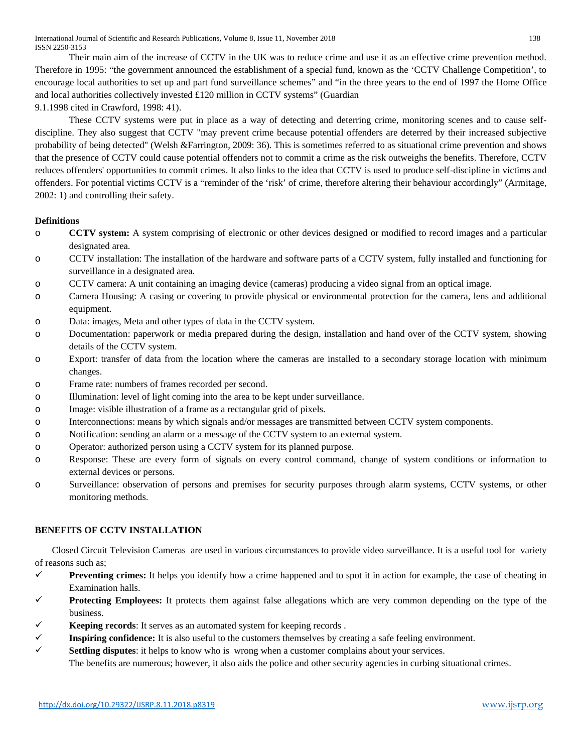International Journal of Scientific and Research Publications, Volume 8, Issue 11, November 2018 138 ISSN 2250-3153

Their main aim of the increase of CCTV in the UK was to reduce crime and use it as an effective crime prevention method. Therefore in 1995: "the government announced the establishment of a special fund, known as the 'CCTV Challenge Competition', to encourage local authorities to set up and part fund surveillance schemes" and "in the three years to the end of 1997 the Home Office and local authorities collectively invested £120 million in CCTV systems" (Guardian

9.1.1998 cited in Crawford, 1998: 41).

These CCTV systems were put in place as a way of detecting and deterring crime, monitoring scenes and to cause selfdiscipline. They also suggest that CCTV "may prevent crime because potential offenders are deterred by their increased subjective probability of being detected" (Welsh &Farrington, 2009: 36). This is sometimes referred to as situational crime prevention and shows that the presence of CCTV could cause potential offenders not to commit a crime as the risk outweighs the benefits. Therefore, CCTV reduces offenders' opportunities to commit crimes. It also links to the idea that CCTV is used to produce self-discipline in victims and offenders. For potential victims CCTV is a "reminder of the 'risk' of crime, therefore altering their behaviour accordingly" (Armitage, 2002: 1) and controlling their safety.

## **Definitions**

- o **CCTV system:** A system comprising of electronic or other devices designed or modified to record images and a particular designated area.
- o CCTV installation: The installation of the hardware and software parts of a CCTV system, fully installed and functioning for surveillance in a designated area.
- o CCTV camera: A unit containing an imaging device (cameras) producing a video signal from an optical image.
- o Camera Housing: A casing or covering to provide physical or environmental protection for the camera, lens and additional equipment.
- o Data: images, Meta and other types of data in the CCTV system.
- o Documentation: paperwork or media prepared during the design, installation and hand over of the CCTV system, showing details of the CCTV system.
- o Export: transfer of data from the location where the cameras are installed to a secondary storage location with minimum changes.
- o Frame rate: numbers of frames recorded per second.
- o Illumination: level of light coming into the area to be kept under surveillance.
- o Image: visible illustration of a frame as a rectangular grid of pixels.
- o Interconnections: means by which signals and/or messages are transmitted between CCTV system components.
- o Notification: sending an alarm or a message of the CCTV system to an external system.
- o Operator: authorized person using a CCTV system for its planned purpose.
- o Response: These are every form of signals on every control command, change of system conditions or information to external devices or persons.
- o Surveillance: observation of persons and premises for security purposes through alarm systems, CCTV systems, or other monitoring methods.

## **BENEFITS OF CCTV INSTALLATION**

Closed Circuit Television Cameras are used in various circumstances to provide video surveillance. It is a useful tool for variety of reasons such as;

- **Preventing crimes:** It helps you identify how a crime happened and to spot it in action for example, the case of cheating in Examination halls.
- **Protecting Employees:** It protects them against false allegations which are very common depending on the type of the business.
- **Keeping records**: It serves as an automated system for keeping records .
- $\checkmark$  **Inspiring confidence:** It is also useful to the customers themselves by creating a safe feeling environment.
- **Settling disputes**: it helps to know who is wrong when a customer complains about your services.

The benefits are numerous; however, it also aids the police and other security agencies in curbing situational crimes.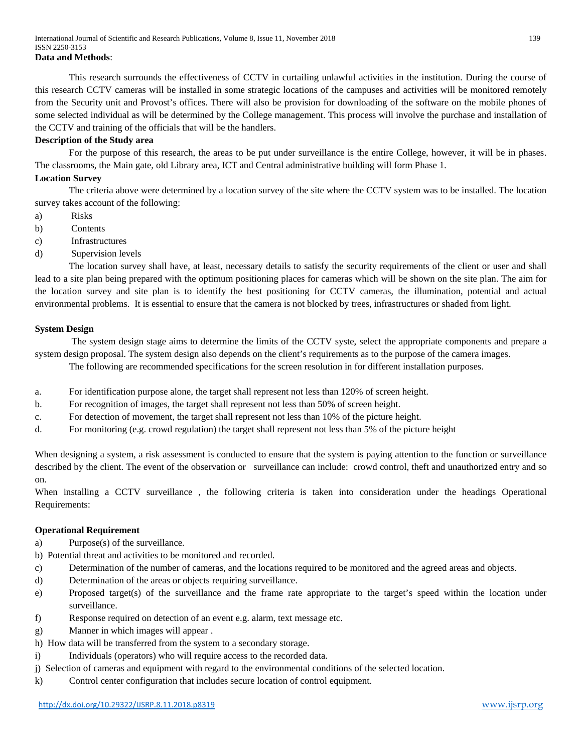This research surrounds the effectiveness of CCTV in curtailing unlawful activities in the institution. During the course of this research CCTV cameras will be installed in some strategic locations of the campuses and activities will be monitored remotely from the Security unit and Provost's offices. There will also be provision for downloading of the software on the mobile phones of some selected individual as will be determined by the College management. This process will involve the purchase and installation of the CCTV and training of the officials that will be the handlers.

## **Description of the Study area**

For the purpose of this research, the areas to be put under surveillance is the entire College, however, it will be in phases. The classrooms, the Main gate, old Library area, ICT and Central administrative building will form Phase 1.

## **Location Survey**

The criteria above were determined by a location survey of the site where the CCTV system was to be installed. The location survey takes account of the following:

- a) Risks
- b) Contents
- c) Infrastructures
- d) Supervision levels

The location survey shall have, at least, necessary details to satisfy the security requirements of the client or user and shall lead to a site plan being prepared with the optimum positioning places for cameras which will be shown on the site plan. The aim for the location survey and site plan is to identify the best positioning for CCTV cameras, the illumination, potential and actual environmental problems. It is essential to ensure that the camera is not blocked by trees, infrastructures or shaded from light.

## **System Design**

The system design stage aims to determine the limits of the CCTV syste, select the appropriate components and prepare a system design proposal. The system design also depends on the client's requirements as to the purpose of the camera images.

The following are recommended specifications for the screen resolution in for different installation purposes.

- a. For identification purpose alone, the target shall represent not less than 120% of screen height.
- b. For recognition of images, the target shall represent not less than 50% of screen height.
- c. For detection of movement, the target shall represent not less than 10% of the picture height.
- d. For monitoring (e.g. crowd regulation) the target shall represent not less than 5% of the picture height

When designing a system, a risk assessment is conducted to ensure that the system is paying attention to the function or surveillance described by the client. The event of the observation or surveillance can include: crowd control, theft and unauthorized entry and so on.

When installing a CCTV surveillance , the following criteria is taken into consideration under the headings Operational Requirements:

## **Operational Requirement**

- a) Purpose(s) of the surveillance.
- b) Potential threat and activities to be monitored and recorded.
- c) Determination of the number of cameras, and the locations required to be monitored and the agreed areas and objects.
- d) Determination of the areas or objects requiring surveillance.
- e) Proposed target(s) of the surveillance and the frame rate appropriate to the target's speed within the location under surveillance.
- f) Response required on detection of an event e.g. alarm, text message etc.
- g) Manner in which images will appear .
- h) How data will be transferred from the system to a secondary storage.
- i) Individuals (operators) who will require access to the recorded data.
- j) Selection of cameras and equipment with regard to the environmental conditions of the selected location.
- k) Control center configuration that includes secure location of control equipment.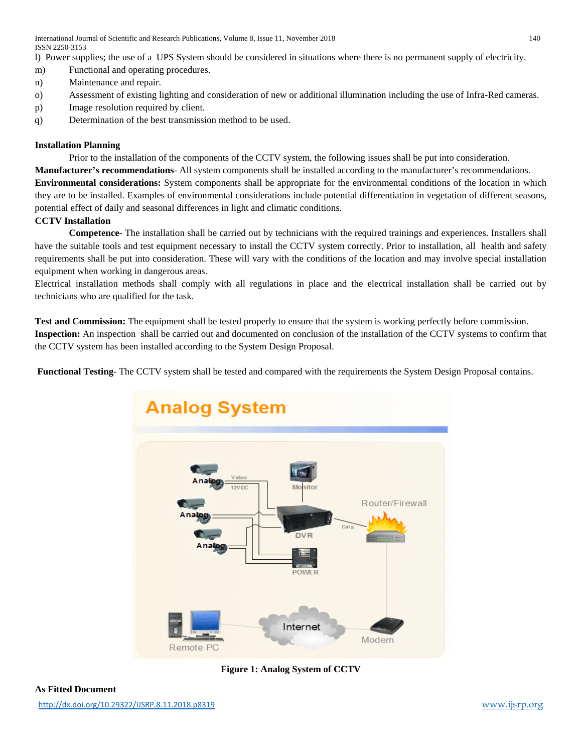l) Power supplies; the use of a UPS System should be considered in situations where there is no permanent supply of electricity.

- m) Functional and operating procedures.
- n) Maintenance and repair.
- o) Assessment of existing lighting and consideration of new or additional illumination including the use of Infra-Red cameras.
- p) Image resolution required by client.
- q) Determination of the best transmission method to be used.

# **Installation Planning**

Prior to the installation of the components of the CCTV system, the following issues shall be put into consideration. **Manufacturer's recommendations**- All system components shall be installed according to the manufacturer's recommendations. **Environmental considerations:** System components shall be appropriate for the environmental conditions of the location in which they are to be installed. Examples of environmental considerations include potential differentiation in vegetation of different seasons, potential effect of daily and seasonal differences in light and climatic conditions.

# **CCTV Installation**

**Competence**- The installation shall be carried out by technicians with the required trainings and experiences. Installers shall have the suitable tools and test equipment necessary to install the CCTV system correctly. Prior to installation, all health and safety requirements shall be put into consideration. These will vary with the conditions of the location and may involve special installation equipment when working in dangerous areas.

Electrical installation methods shall comply with all regulations in place and the electrical installation shall be carried out by technicians who are qualified for the task.

**Test and Commission:** The equipment shall be tested properly to ensure that the system is working perfectly before commission. **Inspection:** An inspection shall be carried out and documented on conclusion of the installation of the CCTV systems to confirm that the CCTV system has been installed according to the System Design Proposal.

**Functional Testing**- The CCTV system shall be tested and compared with the requirements the System Design Proposal contains.



**Figure 1: Analog System of CCTV**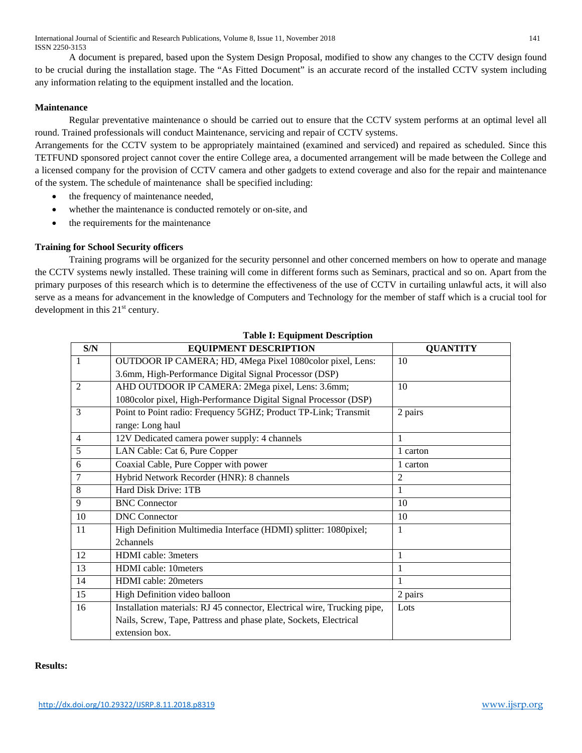International Journal of Scientific and Research Publications, Volume 8, Issue 11, November 2018 141 ISSN 2250-3153

A document is prepared, based upon the System Design Proposal, modified to show any changes to the CCTV design found to be crucial during the installation stage. The "As Fitted Document" is an accurate record of the installed CCTV system including any information relating to the equipment installed and the location.

## **Maintenance**

Regular preventative maintenance o should be carried out to ensure that the CCTV system performs at an optimal level all round. Trained professionals will conduct Maintenance, servicing and repair of CCTV systems.

Arrangements for the CCTV system to be appropriately maintained (examined and serviced) and repaired as scheduled. Since this TETFUND sponsored project cannot cover the entire College area, a documented arrangement will be made between the College and a licensed company for the provision of CCTV camera and other gadgets to extend coverage and also for the repair and maintenance of the system. The schedule of maintenance shall be specified including:

- the frequency of maintenance needed,
- whether the maintenance is conducted remotely or on-site, and
- the requirements for the maintenance

## **Training for School Security officers**

Training programs will be organized for the security personnel and other concerned members on how to operate and manage the CCTV systems newly installed. These training will come in different forms such as Seminars, practical and so on. Apart from the primary purposes of this research which is to determine the effectiveness of the use of CCTV in curtailing unlawful acts, it will also serve as a means for advancement in the knowledge of Computers and Technology for the member of staff which is a crucial tool for development in this  $21<sup>st</sup>$  century.

| S/N            | <b>EQUIPMENT DESCRIPTION</b>                                             | <b>QUANTITY</b> |
|----------------|--------------------------------------------------------------------------|-----------------|
| $\overline{1}$ | OUTDOOR IP CAMERA; HD, 4Mega Pixel 1080color pixel, Lens:                | 10              |
|                | 3.6mm, High-Performance Digital Signal Processor (DSP)                   |                 |
| $\overline{2}$ | AHD OUTDOOR IP CAMERA: 2Mega pixel, Lens: 3.6mm;                         | 10              |
|                | 1080color pixel, High-Performance Digital Signal Processor (DSP)         |                 |
| $\overline{3}$ | Point to Point radio: Frequency 5GHZ; Product TP-Link; Transmit          | 2 pairs         |
|                | range: Long haul                                                         |                 |
| $\overline{4}$ | 12V Dedicated camera power supply: 4 channels                            | 1               |
| 5              | LAN Cable: Cat 6, Pure Copper                                            | 1 carton        |
| 6              | Coaxial Cable, Pure Copper with power                                    | 1 carton        |
| $\overline{7}$ | Hybrid Network Recorder (HNR): 8 channels                                | $\overline{2}$  |
| 8              | Hard Disk Drive: 1TB                                                     | 1               |
| 9              | <b>BNC</b> Connector                                                     | 10              |
| 10             | <b>DNC</b> Connector                                                     | 10              |
| 11             | High Definition Multimedia Interface (HDMI) splitter: 1080pixel;         | 1               |
|                | 2channels                                                                |                 |
| 12             | HDMI cable: 3meters                                                      | 1               |
| 13             | HDMI cable: 10meters                                                     | 1               |
| 14             | HDMI cable: 20meters                                                     | 1               |
| 15             | High Definition video balloon                                            | 2 pairs         |
| 16             | Installation materials: RJ 45 connector, Electrical wire, Trucking pipe, | Lots            |
|                | Nails, Screw, Tape, Pattress and phase plate, Sockets, Electrical        |                 |
|                | extension box.                                                           |                 |

## **Table I: Equipment Description**

## **Results:**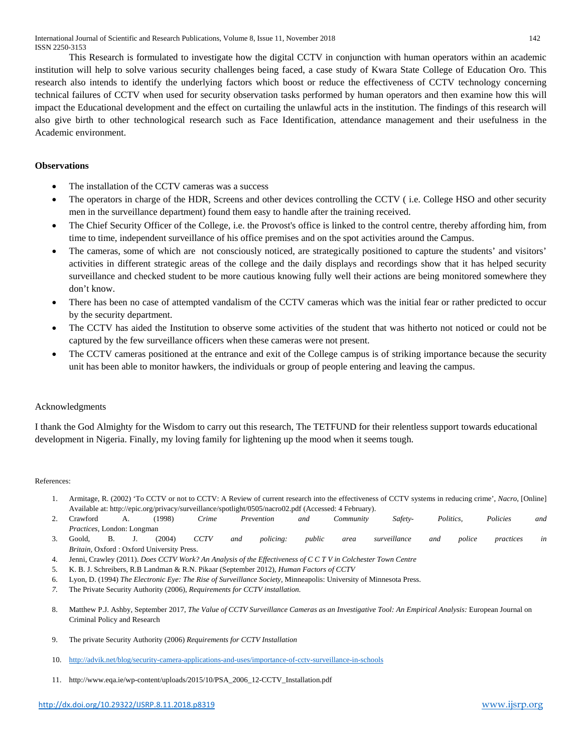This Research is formulated to investigate how the digital CCTV in conjunction with human operators within an academic institution will help to solve various security challenges being faced, a case study of Kwara State College of Education Oro. This research also intends to identify the underlying factors which boost or reduce the effectiveness of CCTV technology concerning technical failures of CCTV when used for security observation tasks performed by human operators and then examine how this will impact the Educational development and the effect on curtailing the unlawful acts in the institution. The findings of this research will also give birth to other technological research such as Face Identification, attendance management and their usefulness in the Academic environment.

# **Observations**

- The installation of the CCTV cameras was a success
- The operators in charge of the HDR, Screens and other devices controlling the CCTV ( i.e. College HSO and other security men in the surveillance department) found them easy to handle after the training received.
- The Chief Security Officer of the College, i.e. the Provost's office is linked to the control centre, thereby affording him, from time to time, independent surveillance of his office premises and on the spot activities around the Campus.
- The cameras, some of which are not consciously noticed, are strategically positioned to capture the students' and visitors' activities in different strategic areas of the college and the daily displays and recordings show that it has helped security surveillance and checked student to be more cautious knowing fully well their actions are being monitored somewhere they don't know.
- There has been no case of attempted vandalism of the CCTV cameras which was the initial fear or rather predicted to occur by the security department.
- The CCTV has aided the Institution to observe some activities of the student that was hitherto not noticed or could not be captured by the few surveillance officers when these cameras were not present.
- The CCTV cameras positioned at the entrance and exit of the College campus is of striking importance because the security unit has been able to monitor hawkers, the individuals or group of people entering and leaving the campus.

# Acknowledgments

I thank the God Almighty for the Wisdom to carry out this research, The TETFUND for their relentless support towards educational development in Nigeria. Finally, my loving family for lightening up the mood when it seems tough.

## References:

- 1. Armitage, R. (2002) 'To CCTV or not to CCTV: A Review of current research into the effectiveness of CCTV systems in reducing crime', *Nacro*, [Online] Available at: http://epic.org/privacy/surveillance/spotlight/0505/nacro02.pdf (Accessed: 4 February).
- 2. Crawford A. (1998) *Crime Prevention and Community Safety- Politics, Policies and Practices*, London: Longman
- 3. Goold, B. J. (2004) *CCTV and policing: public area surveillance and police practices in Britain,* Oxford : Oxford University Press.
- 4. Jenni, Crawley (2011). *Does CCTV Work? An Analysis of the Effectiveness of C C T V in Colchester Town Centre*
- 5. K. B. J. Schreibers, R.B Landman & R.N. Pikaar (September 2012), *Human Factors of CCTV*
- 6. Lyon, D. (1994) *The Electronic Eye: The Rise of Surveillance Society,* Minneapolis: University of Minnesota Press.
- *7.* The Private Security Authority (2006), *Requirements for CCTV installation.*
- 8. Matthew P.J. Ashby, September 2017, *The Value of CCTV Surveillance Cameras as an Investigative Tool: An Empirical Analysis: European Journal on* Criminal Policy and Research
- 9. The private Security Authority (2006) *Requirements for CCTV Installation*
- 10. <http://advik.net/blog/security-camera-applications-and-uses/importance-of-cctv-surveillance-in-schools>
- 11. http://www.eqa.ie/wp-content/uploads/2015/10/PSA\_2006\_12-CCTV\_Installation.pdf